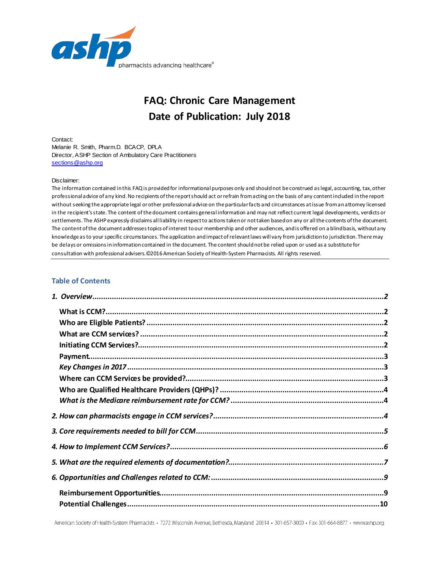

# **FAQ: Chronic Care Management Date of Publication: July 2018**

Contact: Melanie R. Smith, Pharm.D. BCACP, DPLA Director, ASHP Section of Ambulatory Care Practitioners [sections@ashp.org](mailto:sections@ashp.org)

#### Disclaimer:

The information contained in this FAQ is provided for informational purposes only and should not be construed as legal, accounting, tax, other professional advice of any kind. No recipients of the report should act or refrain from acting on the basis of any content included in the report without seeking the appropriate legal or other professional advice on the particular facts and circumstances at issue from anattorney licensed in the recipient's state. The content of the document contains general information and may not reflect current legal developments, verdicts or settlements. The ASHP expressly disclaims all liability in respect to actions taken or not taken based on any or all the contents of the document. The content of the document addresses topics of interest to our membership and other audiences, and is offered on a blind basis, without any knowledge as to your specific circumstances. The application and impact of relevant laws will vary from jurisdiction to jurisdiction. There may be delays or omissions in information contained in the document. The content should not be relied upon or used as a substitute for consultation with professional advisers.©2016 American Society of Health-System Pharmacists. All rights reserved.

#### **Table of Contents**

American Society of Health-System Pharmacists · 7272 Wisconsin Avenue, Bethesda, Maryland 20814 · 301-657-3000 · Fax: 301-664-8877 · www.ashp.org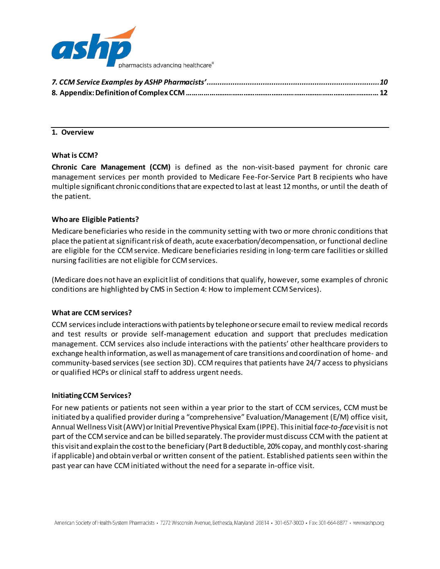

<span id="page-1-0"></span>

## **1. Overview**

#### <span id="page-1-1"></span>**What is CCM?**

**Chronic Care Management (CCM)** is defined as the non-visit-based payment for chronic care management services per month provided to Medicare Fee-For-Service Part B recipients who have multiple significant chronic conditionsthat are expected to last at least 12 months, or until the death of the patient.

#### <span id="page-1-2"></span>**Who are Eligible Patients?**

Medicare beneficiaries who reside in the community setting with two or more chronic conditions that place the patient at significant risk of death, acute exacerbation/decompensation, or functional decline are eligible for the CCM service. Medicare beneficiaries residing in long-term care facilities or skilled nursing facilities are not eligible for CCM services.

(Medicare does not have an explicit list of conditions that qualify, however, some examples of chronic conditions are highlighted by CMS in Section 4: How to implement CCM Services).

#### <span id="page-1-3"></span>**What are CCM services?**

CCM services include interactions with patients by telephone or secure email to review medical records and test results or provide self-management education and support that precludes medication management. CCM services also include interactions with the patients' other healthcare providers to exchange health information, as well as management of care transitions and coordination of home- and community-based services (see section 3D). CCM requires that patients have 24/7 access to physicians or qualified HCPs or clinical staff to address urgent needs.

#### <span id="page-1-4"></span>**Initiating CCM Services?**

For new patients or patients not seen within a year prior to the start of CCM services, CCM must be initiated by a qualified provider during a "comprehensive" Evaluation/Management (E/M) office visit, Annual Wellness Visit (AWV) or Initial Preventive Physical Exam (IPPE). This initial f*ace-to-face* visit is not part of the CCM service and can be billed separately. The provider must discuss CCM with the patient at this visit and explain the cost to the beneficiary (Part B deductible, 20% copay, and monthly cost-sharing if applicable) and obtain verbal or written consent of the patient. Established patients seen within the past year can have CCM initiated without the need for a separate in-office visit.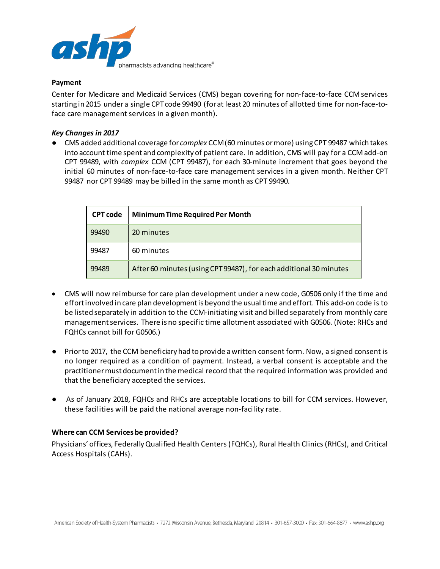

## <span id="page-2-0"></span>**Payment**

Center for Medicare and Medicaid Services (CMS) began covering for non-face-to-face CCM services starting in 2015 under a single CPT code 99490 (for at least 20 minutes of allotted time for non-face-toface care management services in a given month).

## <span id="page-2-1"></span>*Key Changes in 2017*

● CMS added additional coverage for *complex* CCM (60 minutes or more) using CPT 99487 which takes into account time spent and complexity of patient care. In addition, CMS will pay for a CCM add-on CPT 99489, with *complex* CCM (CPT 99487), for each 30-minute increment that goes beyond the initial 60 minutes of non-face-to-face care management services in a given month. Neither CPT 99487 nor CPT 99489 may be billed in the same month as CPT 99490.

| <b>CPT</b> code | <b>Minimum Time Required Per Month</b>                             |
|-----------------|--------------------------------------------------------------------|
| 99490           | 20 minutes                                                         |
| 99487           | 60 minutes                                                         |
| 99489           | After 60 minutes (using CPT 99487), for each additional 30 minutes |

- CMS will now reimburse for care plan development under a new code, G0506 only if the time and effort involved in care plan development is beyond the usual time and effort. This add-on code is to be listed separately in addition to the CCM-initiating visit and billed separately from monthly care management services. There is no specific time allotment associated with G0506. (Note: RHCs and FQHCs cannot bill for G0506.)
- Prior to 2017, the CCM beneficiary had to provide a written consent form. Now, a signed consent is no longer required as a condition of payment. Instead, a verbal consent is acceptable and the practitioner must document in the medical record that the required information was provided and that the beneficiary accepted the services.
- As of January 2018, FQHCs and RHCs are acceptable locations to bill for CCM services. However, these facilities will be paid the national average non-facility rate.

## <span id="page-2-2"></span>**Where can CCM Services be provided?**

Physicians' offices, Federally Qualified Health Centers (FQHCs), Rural Health Clinics (RHCs), and Critical Access Hospitals (CAHs).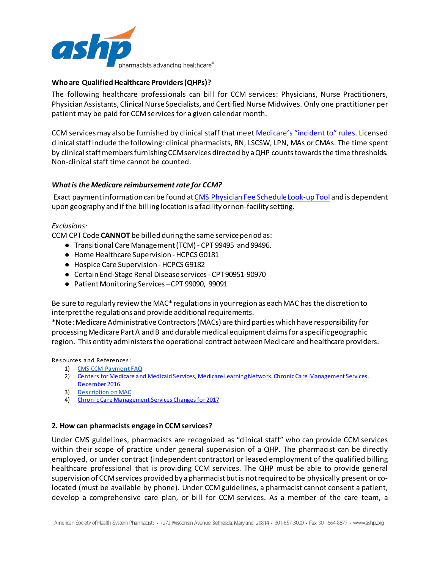

# <span id="page-3-0"></span>**Who are Qualified Healthcare Providers (QHPs)?**

The following healthcare professionals can bill for CCM services: Physicians, Nurse Practitioners, Physician Assistants, Clinical Nurse Specialists, and Certified Nurse Midwives. Only one practitioner per patient may be paid for CCM services for a given calendar month.

CCM services may also be furnished by clinical staff that meet [Medicare's "incident to" rules.](https://www.cms.gov/Outreach-and-Education/Medicare-Learning-Network-MLN/MLNMattersArticles/downloads/se0441.pdf) Licensed clinical staff include the following: clinical pharmacists, RN, LSCSW, LPN, MAs or CMAs. The time spent by clinical staff members furnishing CCM services directed by a QHP counts towards the time thresholds. Non-clinical staff time cannot be counted.

## <span id="page-3-1"></span>*What is the Medicare reimbursement rate for CCM?*

Exact payment information can be found a[t CMS Physician Fee Schedule Look-up Tool](https://www.cms.gov/Medicare/Medicare-Fee-for-Service-Payment/PFSlookup/index.html) and is dependent upon geography and if the billing location is a facility or non-facility setting.

## *Exclusions:*

CCM CPT Code **CANNOT** be billed during the same service period as:

- Transitional Care Management (TCM) CPT 99495 and 99496.
- Home Healthcare Supervision HCPCS G0181
- Hospice Care Supervision HCPCS G9182
- Certain End-Stage Renal Disease services CPT 90951-90970
- Patient Monitoring Services CPT 99090, 99091

Be sure to regularly review the MAC\* regulations in your region as each MAC has the discretion to interpret the regulations and provide additional requirements.

\*Note:Medicare Administrative Contractors (MACs) are third parties which have responsibility for processing Medicare Part A and B and durable medical equipment claims for a specific geographic region. This entity administers the operational contract between Medicare and healthcare providers.

Resources and References:

- 1) [CMS CCM Payment FAQ](https://www.cms.gov/Medicare/Medicare-Fee-for-Service-Payment/PhysicianFeeSched/Downloads/Payment_for_CCM_Services_FAQ.pdf)
- 2) [Centers for Medicare and Medicaid Services, Medicare Learning Network. Chronic Care Management](https://www.cms.gov/outreach-and-education/medicare-learning-network-mln/mlnproducts/downloads/chroniccaremanagement.pdf) Services. [December 2016.](https://www.cms.gov/outreach-and-education/medicare-learning-network-mln/mlnproducts/downloads/chroniccaremanagement.pdf)
- 3) [Description on MAC](https://www.cms.gov/Medicare/Medicare-Contracting/Medicare-Administrative-Contractors/What-is-a-MAC.html)
- <span id="page-3-2"></span>4) [Chronic Care Management Services Changes for 2017](https://www.cms.gov/Outreach-and-Education/Medicare-Learning-Network-MLN/MLNProducts/Downloads/ChronicCareManagementServicesChanges2017.pdf)

## **2. How can pharmacists engage in CCM services?**

Under CMS guidelines, pharmacists are recognized as "clinical staff" who can provide CCM services within their scope of practice under general supervision of a QHP. The pharmacist can be directly employed, or under contract (independent contractor) or leased employment of the qualified billing healthcare professional that is providing CCM services. The QHP must be able to provide general supervision of CCM services provided by a pharmacist but is not required to be physically present or colocated (must be available by phone). Under CCM guidelines, a pharmacist cannot consent a patient, develop a comprehensive care plan, or bill for CCM services. As a member of the care team, a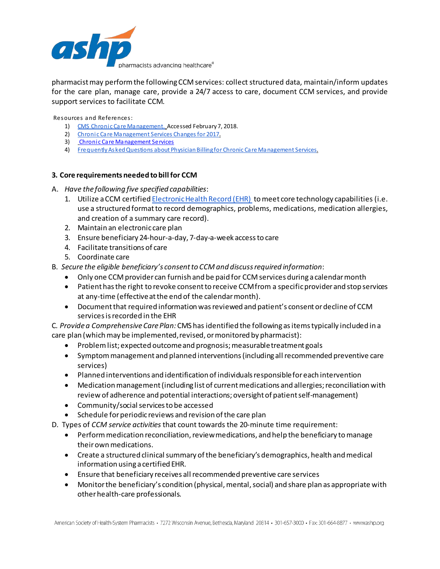

pharmacist may perform the following CCM services: collect structured data, maintain/inform updates for the care plan, manage care, provide a 24/7 access to care, document CCM services, and provide support services to facilitate CCM.

Resources and References:

- 1) [CMS Chronic Care Management.](https://www.cms.gov/Outreach-and-Education/Medicare-Learning-Network-MLN/MLNProducts/Downloads/ChronicCareManagementServicesChanges2017.pdf) Accessed February 7, 2018.
- 2) [Chronic Care Management Services Changes for 2017.](https://www.cms.gov/Outreach-and-Education/Medicare-Learning-Network-MLN/MLNProducts/Downloads/ChronicCareManagementServicesChanges2017.pdf)
- 3) [Chronic Care Management Services](https://www.cms.gov/Outreach-and-Education/Medicare-Learning-Network-MLN/MLNProducts/Downloads/ChronicCareManagement.pdf)
- <span id="page-4-0"></span>4) [Frequently Asked Questions about Physician Billing for Chronic Care Management Services.](https://www.cms.gov/Medicare/Medicare-Fee-for-Service-Payment/PhysicianFeeSched/Downloads/Payment_for_CCM_Services_FAQ.pdf)

# **3. Core requirements needed to bill for CCM**

- A. *Have the following five specified capabilities*:
	- 1. Utilize a CCM certifie[d Electronic Health Record \(EHR\) t](https://www.cms.gov/Regulations-and-Guidance/Legislation/%20EHRIncentivePrograms)o meet core technology capabilities (i.e. use a structured format to record demographics, problems, medications, medication allergies, and creation of a summary care record).
	- 2. Maintain an electronic care plan
	- 3. Ensure beneficiary 24-hour-a-day, 7-day-a-week access to care
	- 4. Facilitate transitions of care
	- 5. Coordinate care
- B. *Secure the eligible beneficiary's consent to CCM and discuss required information*:
	- Only one CCM provider can furnish and be paid for CCM services during a calendar month
	- Patient has the right to revoke consent to receive CCM from a specific provider and stop services at any-time (effective at the end of the calendar month).
	- Document that required information was reviewed and patient's consent or decline of CCM services is recorded in the EHR

C*. Provide a Comprehensive Care Plan:* CMS has identified the following as items typically included in a care plan (which may be implemented, revised, or monitored by pharmacist):

- Problem list; expected outcome and prognosis; measurable treatment goals
- Symptom management and planned interventions (including all recommended preventive care services)
- Planned interventions and identification of individuals responsible for each intervention
- Medication management (including list of current medications and allergies; reconciliation with review of adherence and potential interactions; oversight of patient self-management)
- Community/social services to be accessed
- Schedule for periodic reviews and revision of the care plan
- D. Types of *CCM service activities* that count towards the 20-minute time requirement:
	- Perform medication reconciliation, review medications, and help the beneficiary to manage their own medications.
	- Create a structured clinical summary of the beneficiary's demographics, health and medical information using a certified EHR.
	- Ensure that beneficiary receives all recommended preventive care services
	- Monitor the beneficiary's condition (physical, mental, social) and share plan as appropriate with other health-care professionals.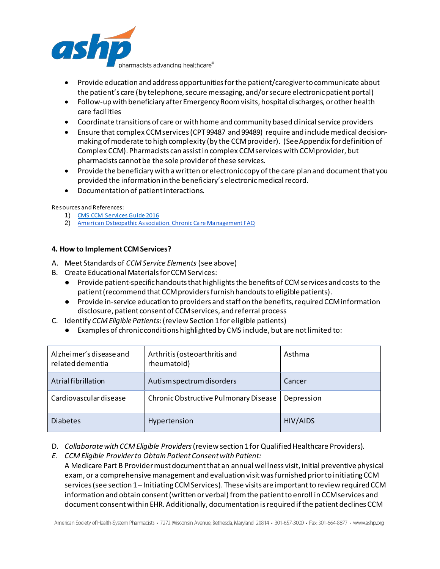

- Provide education and address opportunities for the patient/caregiver to communicate about the patient's care (by telephone, secure messaging, and/or secure electronic patient portal)
- Follow-up with beneficiary after Emergency Room visits, hospital discharges, or other health care facilities
- Coordinate transitions of care or with home and community based clinical service providers
- Ensure that complex CCM services (CPT 99487 and 99489) require and include medical decisionmaking of moderate to high complexity (by the CCM provider). (See Appendix for definition of Complex CCM). Pharmacists can assist in complex CCM services with CCM provider, but pharmacists cannot be the sole provider of these services.
- Provide the beneficiary with a written or electronic copy of the care plan and document that you provided the information in the beneficiary's electronic medical record.
- Documentation of patientinteractions.

Resources and References:

- 1) [CMS CCM Services Guide](https://www.cms.gov/Outreach-and-Education/Medicare-Learning-Network-MLN/MLNProducts/Downloads/ChronicCareManagement.pdf) 2016
- <span id="page-5-0"></span>2) American Osteopathic Association. Chronic Care Management FAQ

## **4. How to Implement CCM Services?**

- A. Meet Standards of *CCM Service Elements* (see above)
- B. Create Educational Materialsfor CCM Services:
	- Provide patient-specific handouts that highlights the benefits of CCM services and costs to the patient(recommend that CCM providers furnish handouts to eligible patients).
	- Provide in-service education to providers and staff on the benefits, required CCM information disclosure, patient consent of CCM services, and referral process
- C. Identify *CCM Eligible Patients*:(review Section 1 for eligible patients)
	- Examples of chronic conditions highlighted by CMS include, but are not limited to:

| Alzheimer's disease and<br>related dementia | Arthritis (osteoarthritis and<br>rheumatoid) | Asthma     |
|---------------------------------------------|----------------------------------------------|------------|
| Atrial fibrillation                         | Autism spectrum disorders                    | Cancer     |
| Cardiovascular disease                      | Chronic Obstructive Pulmonary Disease        | Depression |
| <b>Diabetes</b>                             | Hypertension                                 | HIV/AIDS   |

- D. *Collaborate with CCM Eligible Providers*(review section 1 for Qualified Healthcare Providers).
- *E. CCM Eligible Provider to Obtain Patient Consent with Patient:*  A Medicare Part B Provider must document that an annual wellness visit, initial preventive physical exam, or a comprehensive management and evaluation visit was furnished prior to initiating CCM services(see section 1– Initiating CCM Services). These visits are important to review required CCM information and obtain consent (written or verbal) from the patient to enroll in CCM services and document consent within EHR. Additionally, documentation is required if the patient declines CCM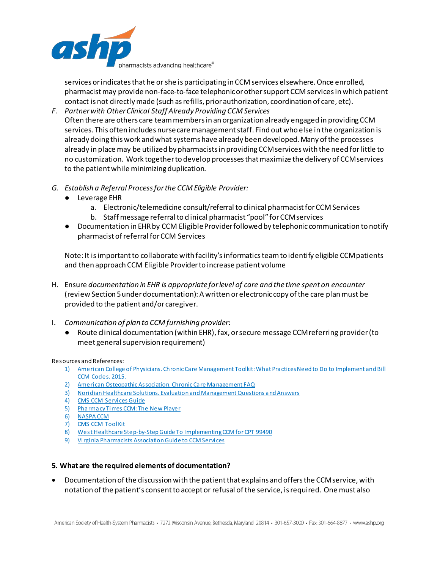

services or indicates that he or she is participating in CCM services elsewhere. Once enrolled, pharmacist may provide non-face-to-face telephonic or other support CCM servicesin which patient contact is not directly made (such as refills, prior authorization, coordination of care, etc).

- *F. Partner with Other Clinical Staff Already Providing CCM Services* Often there are others care team members in an organization already engaged in providing CCM services. This often includes nurse care management staff. Find out who else in the organization is already doing this work and what systems have already been developed. Many of the processes already in place may be utilized by pharmacists in providing CCM services with the need for little to no customization. Work together to develop processes that maximize the delivery of CCM services to the patient while minimizing duplication.
- *G. Establish a Referral Process for the CCM Eligible Provider:*
	- Leverage EHR
		- a. Electronic/telemedicine consult/referral to clinical pharmacist for CCM Services
		- b. Staff message referral to clinical pharmacist "pool" for CCM services
	- Documentation in EHR by CCM Eligible Provider followed by telephonic communication to notify pharmacist of referral for CCM Services

Note: It is important to collaborate with facility's informatics team to identify eligible CCM patients and then approach CCM Eligible Provider to increase patient volume

- H. Ensure *documentation in EHR is appropriate for level of care and the time spent on encounter* (review Section 5 under documentation):A written or electronic copy of the care plan must be provided to the patient and/or caregiver.
- I. *Communication of plan to CCM furnishing provider*:
	- Route clinical documentation (within EHR), fax, or secure message CCM referring provider (to meet general supervision requirement)

#### Resources and References:

- 1) American College of Physicians. Chronic Care Management Toolkit: What Practices Need to Do to Implement and Bill CCM Codes. 2015.
- 2) [American Osteopathic Association. Chronic Care Management FAQ](https://www.osteopathic.org/inside-aoa/development/practice-mgt/Pages/chronic-care-management-faq.aspx)
- 3) [Noridian Healthcare Solutions. Evaluation and Management Questions and Answers](https://med.noridianmedicare.com/web/jeb/education/event-materials/em-qa)
- 4) [CMS CCM Services Guide](https://www.cms.gov/Outreach-and-Education/Medicare-Learning-Network-MLN/MLNProducts/Downloads/ChronicCareManagement.pdf)
- 5) [Pharmacy Times CCM: The New Player](http://www.pharmacytimes.com/contributor/shelby-leheny-pharmd-candidate-2017/2017/05/chronic-care-management-ccm-the-new-player)
- 6) [NASPA CCM](https://naspa.us/resource/chronic-care-management/)
- 7) [CMS CCM ToolKit](https://www.cms.gov/About-CMS/Agency-Information/OMH/Downloads/connected-partnertoolkit.pdf)
- 8) [West Healthcare Step-by-Step Guide To Implementing CCM for CPT 99490](https://www.west.com/wp-content/uploads/2016/04/West-Guide-to-Implementing-CCM-for-99490.pdf)
- <span id="page-6-0"></span>9) [Virginia Pharmacists Association Guide to CCM Services](https://virginiapharmacists.org/wp-content/uploads/2017/08/FINAL-CCM-VPhA-slides-finalcw.pdf)

## **5. What are the required elements of documentation?**

• Documentation of the discussion with the patient that explains and offers the CCM service, with notation of the patient's consent to accept or refusal of the service, is required. One must also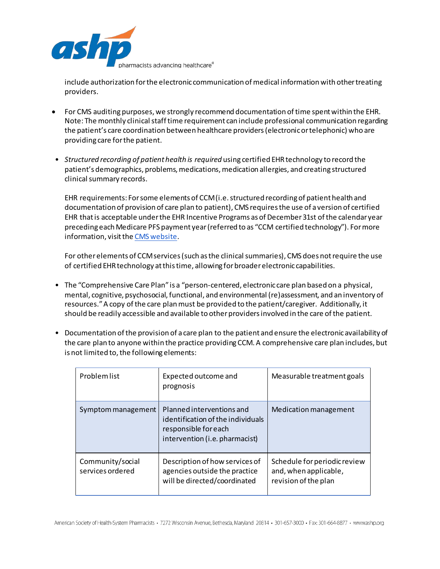

include authorization for the electronic communication of medical information with other treating providers.

- For CMS auditing purposes, we strongly recommend documentation of time spent within the EHR. Note: The monthly clinical staff time requirement can include professional communication regarding the patient's care coordination between healthcare providers (electronic or telephonic) who are providing care for the patient.
- *Structured recording of patient health is required* using certified EHR technology to record the patient's demographics, problems, medications, medication allergies, and creating structured clinical summary records.

EHR requirements: For some elements of CCM (i.e. structured recording of patient health and documentation of provision of care plan to patient), CMS requires the use of a version of certified EHR that is acceptable under the EHR Incentive Programs as of December 31st of the calendar year preceding each Medicare PFS payment year (referred to as "CCM certified technology"). For more information, visit th[e CMS website](http://www.cms.gov/Regulations-and-Guidance/Legislation/EHRIncentivePrograms).

For other elements of CCM services (such as the clinical summaries), CMS does not require the use of certified EHR technology at this time, allowing for broader electronic capabilities.

- The "Comprehensive Care Plan" is a "person-centered, electronic care plan based on a physical, mental, cognitive, psychosocial, functional, and environmental (re)assessment, and an inventory of resources." A copy of the care plan must be provided to the patient/caregiver. Additionally, it should be readily accessible and available to other providers involved in the care of the patient.
- Documentation of the provision of a care plan to the patient and ensure the electronic availability of the care plan to anyone within the practice providing CCM. A comprehensive care plan includes, but is not limited to, the following elements:

| Problem list                         | Expected outcome and<br>prognosis                                                                                        | Measurable treatment goals                                                    |
|--------------------------------------|--------------------------------------------------------------------------------------------------------------------------|-------------------------------------------------------------------------------|
| Symptom management                   | Planned interventions and<br>identification of the individuals<br>responsible for each<br>intervention (i.e. pharmacist) | Medication management                                                         |
| Community/social<br>services ordered | Description of how services of<br>agencies outside the practice<br>will be directed/coordinated                          | Schedule for periodic review<br>and, when applicable,<br>revision of the plan |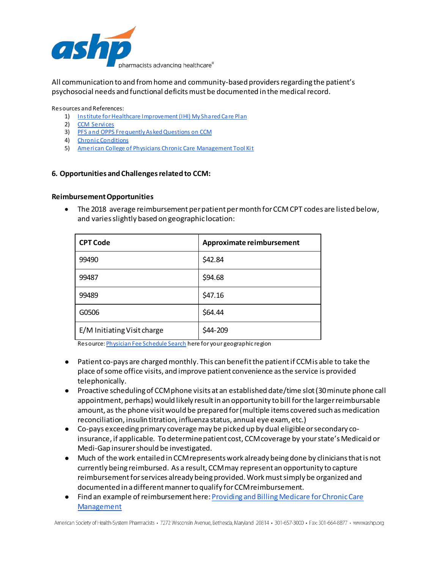

All communication to and from home and community-based providers regarding the patient's psychosocial needs and functional deficitsmust be documented in the medical record.

Resources and References:

- 1) [Institute for Healthcare Improvement \(IHI\) My Shared Care Plan](http://www.ihi.org/resources/Pages/Tools/MySharedCarePlan.aspx)
- 2) [CCM Services](https://www.cms.gov/Outreach-and-Education/MedicareLearning-NetworkMLN/MLNProducts/Downloads/ChronicCareManagement.pdf)
- 3) [PFS and OPPS Frequently Asked Questions on CCM](https://www.cms.gov/Medicare/Medicare-Fee-for-ServicePayment/HospitalOutpatientPPS/Downloads/Payment-Chronic-CareManagement-Services-FAQs.pdf)
- 4) [Chronic Conditions](http://www.cms.gov/Research-Statistics-Data-andSystems/Statistics-Trends-and-Reports/Chronic-Conditions)
- <span id="page-8-0"></span>5) [American College of Physicians Chronic Care Management Tool Kit](https://www.acponline.org/system/files/documents/running_practice/payment_coding/medicare/chronic_care_management_toolkit.pdf)

#### **6. Opportunities and Challenges related to CCM:**

#### <span id="page-8-1"></span>**Reimbursement Opportunities**

• The 2018 average reimbursement per patient per month for CCM CPT codes are listed below, and varies slightly based on geographic location:

| <b>CPT Code</b>             | Approximate reimbursement |
|-----------------------------|---------------------------|
| 99490                       | \$42.84                   |
| 99487                       | \$94.68                   |
| 99489                       | \$47.16                   |
| G0506                       | \$64.44                   |
| E/M Initiating Visit charge | \$44-209                  |

Resource[: Physician Fee Schedule Search](https://www.cms.gov/apps/physician-fee-schedule/search/search-criteria.aspx) here for your geographic region

- Patient co-pays are charged monthly. This can benefit the patient if CCM is able to take the place of some office visits, and improve patient convenience as the service is provided telephonically.
- Proactive scheduling of CCM phone visits at an established date/time slot (30 minute phone call appointment, perhaps) would likely result in an opportunity to bill for the larger reimbursable amount, as the phone visit would be prepared for (multiple items covered such as medication reconciliation, insulin titration, influenza status, annual eye exam, etc.)
- Co-pays exceeding primary coverage may be picked up by dual eligibleor secondary coinsurance, if applicable. To determine patient cost, CCM coverage by your state's Medicaid or Medi-Gap insurer should be investigated.
- Much of the work entailed in CCM represents work already being done by clinicians that is not currently being reimbursed. As a result, CCM may represent an opportunity to capture reimbursement for services already being provided. Work must simply be organized and documented in a different manner to qualify for CCM reimbursement.
- Find an example of reimbursement here[: Providing and Billing Medicare for Chronic Care](https://www.cms.gov/apps/physician-fee-schedule/search/search-criteria.aspx)  [Management](https://www.cms.gov/apps/physician-fee-schedule/search/search-criteria.aspx)

American Society of Health-System Pharmacists · 7272 Wisconsin Avenue, Bethesda, Maryland 20814 · 301-657-3000 · Fax: 301-664-8877 · www.ashp.org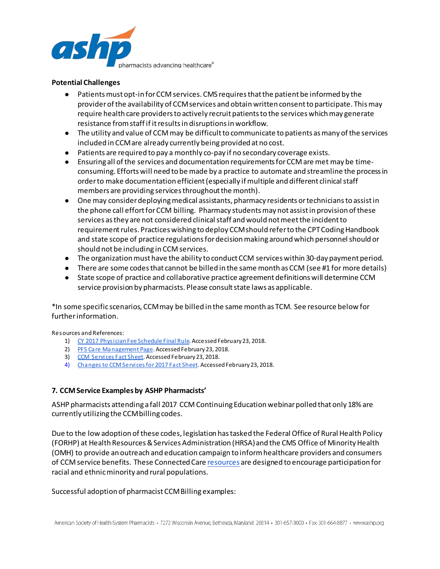

#### <span id="page-9-0"></span>**Potential Challenges**

- Patients mustopt-in for CCM services. CMS requires that the patient be informed by the provider of the availability of CCM services and obtain written consent to participate. This may require health care providers to actively recruit patients to the services which may generate resistance from staff if it results in disruptions in workflow.
- The utility and value of CCM may be difficult to communicate to patients as many of the services included in CCM are already currently being provided at no cost.
- Patients are required to pay a monthly co-pay if no secondary coverage exists.
- Ensuring all of the services and documentation requirements for CCM are met may be timeconsuming. Efforts will need to be made by a practice to automate and streamline the process in order to make documentation efficient(especially if multiple and different clinical staff members are providing services throughout the month).
- One may consider deploying medical assistants, pharmacy residents or techniciansto assist in the phone call effort for CCM billing. Pharmacy students may not assist in provision of these services as they are not considered clinical staff and would not meet the incident to requirement rules. Practices wishing to deploy CCM should refer to the CPT Coding Handbook and state scope of practice regulations for decision making around which personnel should or should not be including in CCM services.
- The organization must have the ability to conduct CCM services within 30-day payment period.
- There are some codes that cannot be billed in the same month as CCM (see #1 for more details)
- State scope of practice and collaborative practice agreement definitions will determine CCM service provision by pharmacists. Please consult state laws as applicable.

\*In some specific scenarios, CCM may be billed in the same month as TCM. See resource below for further information.

Resources and References:

- 1) [CY 2017 Physician Fee Schedule Final Rule.](https://www.gpo.gov/fdsys/pkg/FR-2016-11-15/pdf/2016-26668.pdf) Accessed February 23, 2018.
- 2) [PFS Care Management Page](https://www.cms.gov/Medicare/Medicare-Fee-for-Service-Payment/PhysicianFeeSched/Care-Management.html). Accessed February 23, 2018.
- 3) [CCM Services Fact Sheet](https://www.cms.gov/Medicare/Medicare-Fee-for-Service-Payment/PhysicianFeeSched/Care-Management.html). Accessed February 23, 2018.
- <span id="page-9-1"></span>4) [Changes to CCM Services for 2017 Fact Sheet](https://www.cms.gov/Outreach-and-Education/Medicare-Learning-Network-MLN/MLNProducts/Downloads/ChronicCareManagementServicesChanges2017.pdf). Accessed February 23, 2018.

## **7. CCM Service Examples by ASHP Pharmacists'**

ASHP pharmacists attending a fall 2017 CCM Continuing Education webinar polled that only 18% are currently utilizing the CCM billing codes.

Due to the low adoption of these codes, legislation has tasked the Federal Office of Rural Health Policy (FORHP) at Health Resources & Services Administration (HRSA) and the CMS Office of Minority Health (OMH) to provide an outreach and education campaign to inform healthcare providers and consumers of CCM service benefits. These Connected Car[e resources](http://go.cms.gov/ccm) are designed to encourage participation for racial and ethnic minority and rural populations.

Successful adoption of pharmacist CCM Billing examples: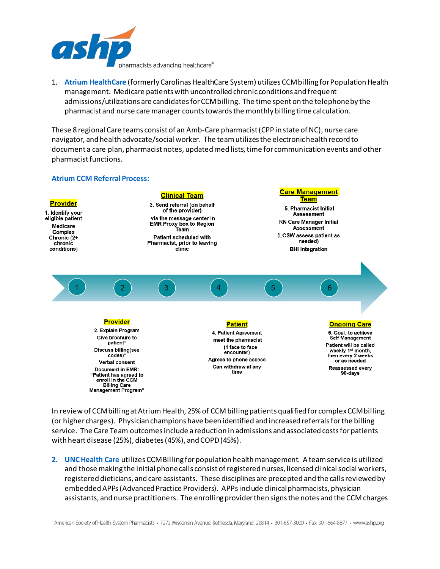

1. **Atrium HealthCare** (formerly Carolinas HealthCare System) utilizes CCM billing for Population Health management. Medicare patients with uncontrolled chronic conditions and frequent admissions/utilizations are candidates for CCM billing. The time spent on the telephone by the pharmacist and nurse care manager counts towards the monthly billing time calculation.

These 8 regional Care teams consist of an Amb-Care pharmacist (CPP in state of NC), nurse care navigator, and health advocate/social worker. The team utilizes the electronic health record to document a care plan, pharmacist notes, updated med lists, time for communication events and other pharmacist functions.

## **Atrium CCM Referral Process:**



In review of CCM billing at Atrium Health, 25% of CCM billing patients qualified for complex CCM billing (or higher charges). Physician champions have been identified and increased referrals for the billing service. The Care Team outcomes include a reduction in admissions and associated costs for patients with heart disease (25%), diabetes (45%), and COPD (45%).

**2. UNC Health Care** utilizes CCM Billing for population health management. A team service is utilized and those making the initial phone calls consist of registered nurses, licensed clinical social workers, registered dieticians, and care assistants. These disciplines are precepted and the calls reviewed by embedded APPs (Advanced Practice Providers). APPs include clinical pharmacists, physician assistants, and nurse practitioners. The enrolling provider then signs the notes and the CCM charges

American Society of Health-System Pharmacists · 7272 Wisconsin Avenue, Bethesda, Maryland 20814 · 301-657-3000 · Fax: 301-664-8877 · www.ashp.org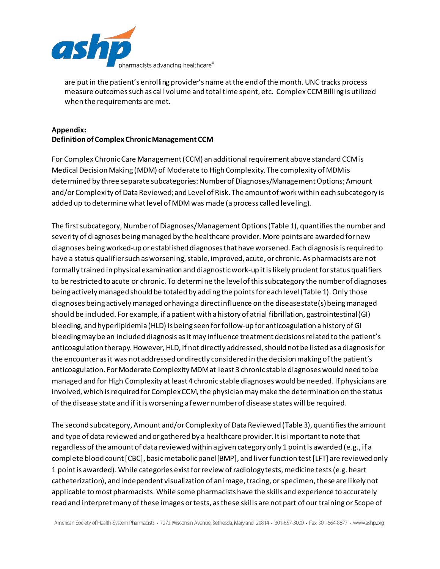

are put in the patient's enrolling provider's name at the end of the month. UNC tracks process measure outcomes such as call volume and total time spent, etc. Complex CCM Billing is utilized when the requirements are met.

# **Appendix: Definition of Complex Chronic Management CCM**

For Complex Chronic Care Management (CCM) an additional requirement above standard CCM is Medical Decision Making (MDM) of Moderate to High Complexity. The complexity of MDM is determined by three separate subcategories: Number of Diagnoses/Management Options; Amount and/or Complexity of Data Reviewed; and Level of Risk. The amount of work within each subcategory is added up to determine what level of MDM was made (a process called leveling).

The first subcategory, Number of Diagnoses/Management Options (Table 1), quantifies the number and severity of diagnoses being managed by the healthcare provider. More points are awarded for new diagnoses being worked-up or established diagnoses that have worsened. Each diagnosis is required to have a status qualifier such as worsening, stable, improved, acute, or chronic. As pharmacists are not formally trained in physical examination and diagnostic work-up it is likely prudent for status qualifiers to be restricted to acute or chronic. To determine the level of this subcategory the number of diagnoses being actively managed should be totaled by adding the points for each level (Table 1). Only those diagnoses being actively managed or having a direct influence on the disease state(s) being managed should be included. For example, if a patient with a history of atrial fibrillation, gastrointestinal (GI) bleeding, and hyperlipidemia (HLD) is being seen for follow-up for anticoagulation a history of GI bleeding may be an included diagnosis as it may influence treatment decisions related to the patient's anticoagulation therapy. However, HLD, if not directly addressed, should not be listed as a diagnosis for the encounter as it was not addressed or directly considered in the decision making of the patient's anticoagulation. For Moderate Complexity MDM at least 3 chronic stable diagnoses would need to be managed and for High Complexity at least 4 chronic stable diagnoses would be needed. If physicians are involved, which is required for Complex CCM, the physician may make the determination on the status of the disease state and if it is worsening a fewer number of disease states will be required.

The second subcategory, Amount and/or Complexity of Data Reviewed (Table 3), quantifies the amount and type of data reviewed and or gathered by a healthcare provider. It is important to note that regardless of the amount of data reviewed within a given category only 1 point is awarded (e.g., if a complete blood count [CBC], basic metabolic panel[BMP], and liver function test [LFT] are reviewed only 1 point is awarded). While categories exist for review of radiology tests, medicine tests (e.g. heart catheterization), and independent visualization of an image, tracing, or specimen, these are likely not applicable to most pharmacists. While some pharmacists have the skills and experience to accurately read and interpret many of these images or tests, as these skills are not part of our training or Scope of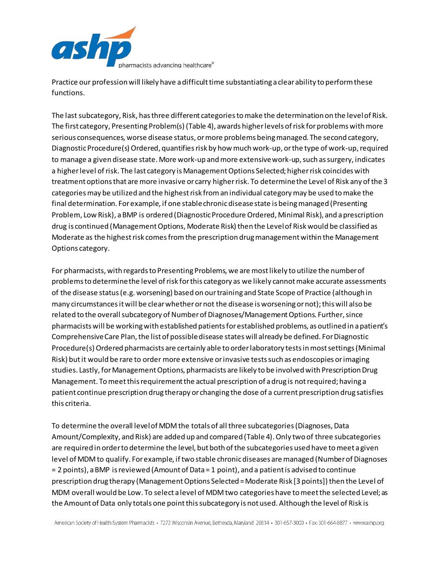

Practice our profession will likely have a difficult time substantiating a clear ability to perform these functions.

The last subcategory, Risk, has three different categories to make the determination on the level of Risk. The first category, Presenting Problem(s) (Table 4), awards higher levels of risk for problems with more serious consequences, worse disease status, or more problems being managed. The second category, Diagnostic Procedure(s) Ordered, quantifies risk by how much work-up, or the type of work-up, required to manage a given disease state. More work-up and more extensive work-up, such as surgery, indicates a higher level of risk. The last category is Management Options Selected; higher risk coincides with treatment options that are more invasive or carry higher risk. To determine the Level of Risk any of the 3 categories may be utilized and the highest risk from an individual category may be used to make the final determination. For example, if one stable chronic disease state is being managed (Presenting Problem, Low Risk), a BMP is ordered (Diagnostic Procedure Ordered, Minimal Risk), and a prescription drug is continued (Management Options, Moderate Risk) then the Level of Risk would be classified as Moderate as the highest risk comes from the prescription drug management within the Management Options category.

For pharmacists, with regards to Presenting Problems, we are most likely to utilize the number of problems to determine the level of risk for this category as we likely cannot make accurate assessments of the disease status (e.g. worsening) based on our training and State Scope of Practice (although in many circumstances it will be clear whether or not the disease is worsening or not); this will also be related to the overall subcategory of Number of Diagnoses/Management Options. Further, since pharmacists will be working with established patients for established problems, as outlined in a patient's Comprehensive Care Plan, the list of possible disease states will already be defined. For Diagnostic Procedure(s) Ordered pharmacists are certainly able to order laboratory tests in most settings (Minimal Risk) but it would be rare to order more extensive or invasive tests such as endoscopies or imaging studies. Lastly, for Management Options, pharmacists are likely to be involved with Prescription Drug Management. To meet this requirement the actual prescription of a drug is not required; having a patient continue prescription drug therapy or changing the dose of a current prescription drug satisfies this criteria.

To determine the overall level of MDM the totals of all three subcategories (Diagnoses, Data Amount/Complexity, and Risk) are added up and compared (Table 4). Only two of three subcategories are required in order to determine the level, but both of the subcategories used have to meet a given level of MDM to qualify. For example, if two stable chronic diseases are managed (Number of Diagnoses = 2 points), a BMP is reviewed (Amount of Data = 1 point), and a patient is advised to continue prescription drug therapy (Management Options Selected = Moderate Risk [3 points]) then the Level of MDM overall would be Low. To select a level of MDM two categories have to meet the selected Level; as the Amount of Data only totals one point this subcategory is not used. Although the level of Risk is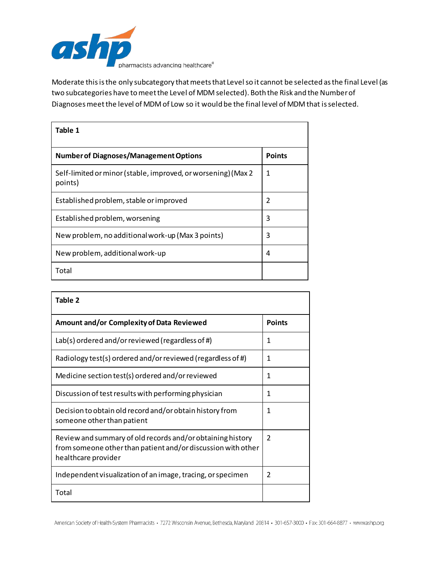

Moderate this is the only subcategory that meets that Level so it cannot be selected as the final Level (as two subcategories have to meet the Level of MDM selected). Both the Risk and the Number of Diagnoses meet the level of MDM of Low so it would be the final level of MDM that is selected.

| Table 1                                                                  |               |  |
|--------------------------------------------------------------------------|---------------|--|
| <b>Number of Diagnoses/Management Options</b>                            | <b>Points</b> |  |
| Self-limited or minor (stable, improved, or worsening) (Max 2<br>points) | 1             |  |
| Established problem, stable or improved                                  | 2             |  |
| Established problem, worsening                                           | 3             |  |
| New problem, no additional work-up (Max 3 points)                        | 3             |  |
| New problem, additional work-up                                          | 4             |  |
| Total                                                                    |               |  |

| Table 2                                                                                                                                           |               |
|---------------------------------------------------------------------------------------------------------------------------------------------------|---------------|
| Amount and/or Complexity of Data Reviewed                                                                                                         | <b>Points</b> |
| Lab(s) ordered and/or reviewed (regardless of #)                                                                                                  | 1             |
| Radiology test(s) ordered and/or reviewed (regardless of #)                                                                                       | 1             |
| Medicine section test(s) ordered and/or reviewed                                                                                                  | 1             |
| Discussion of test results with performing physician                                                                                              | 1             |
| Decision to obtain old record and/or obtain history from<br>someone other than patient                                                            | 1             |
| Review and summary of old records and/or obtaining history<br>from someone other than patient and/or discussion with other<br>healthcare provider | 2             |
| Independent visualization of an image, tracing, or specimen                                                                                       | 2             |
| Total                                                                                                                                             |               |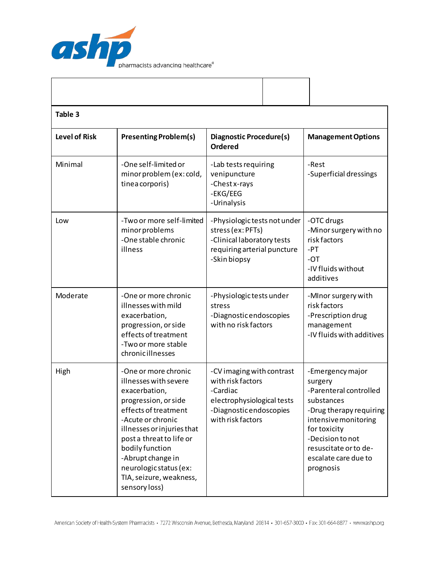

| Table 3              |                                                                                                                                                                                                                                                                                                             |                                                                                                                                          |                                                                                                                                                                                                                          |  |
|----------------------|-------------------------------------------------------------------------------------------------------------------------------------------------------------------------------------------------------------------------------------------------------------------------------------------------------------|------------------------------------------------------------------------------------------------------------------------------------------|--------------------------------------------------------------------------------------------------------------------------------------------------------------------------------------------------------------------------|--|
| <b>Level of Risk</b> | <b>Presenting Problem(s)</b>                                                                                                                                                                                                                                                                                | Diagnostic Procedure(s)<br><b>Ordered</b>                                                                                                | <b>Management Options</b>                                                                                                                                                                                                |  |
| Minimal              | -One self-limited or<br>minor problem (ex: cold,<br>tinea corporis)                                                                                                                                                                                                                                         | -Lab tests requiring<br>venipuncture<br>-Chest x-rays<br>-EKG/EEG<br>-Urinalysis                                                         | -Rest<br>-Superficial dressings                                                                                                                                                                                          |  |
| Low                  | -Two or more self-limited<br>minor problems<br>-One stable chronic<br>illness                                                                                                                                                                                                                               | -Physiologic tests not under<br>stress (ex: PFTs)<br>-Clinical laboratory tests<br>requiring arterial puncture<br>-Skin biopsy           | -OTC drugs<br>-Minor surgery with no<br>risk factors<br>$-PT$<br>$-OT$<br>-IV fluids without<br>additives                                                                                                                |  |
| Moderate             | -One or more chronic<br>illnesses with mild<br>exacerbation,<br>progression, or side<br>effects of treatment<br>-Two or more stable<br>chronicillnesses                                                                                                                                                     | -Physiologic tests under<br>stress<br>-Diagnostic endoscopies<br>with no risk factors                                                    | -Minor surgery with<br>risk factors<br>-Prescription drug<br>management<br>-IV fluids with additives                                                                                                                     |  |
| High                 | -One or more chronic<br>illnesses with severe<br>exacerbation,<br>progression, or side<br>effects of treatment<br>-Acute or chronic<br>illnesses or injuries that<br>post a threat to life or<br>bodily function<br>-Abrupt change in<br>neurologic status (ex:<br>TIA, seizure, weakness,<br>sensory loss) | -CV imaging with contrast<br>with risk factors<br>-Cardiac<br>electrophysiological tests<br>-Diagnostic endoscopies<br>with risk factors | -Emergency major<br>surgery<br>-Parenteral controlled<br>substances<br>-Drug therapy requiring<br>intensive monitoring<br>for toxicity<br>-Decision to not<br>resuscitate or to de-<br>escalate care due to<br>prognosis |  |

 $\mathbf{I}$